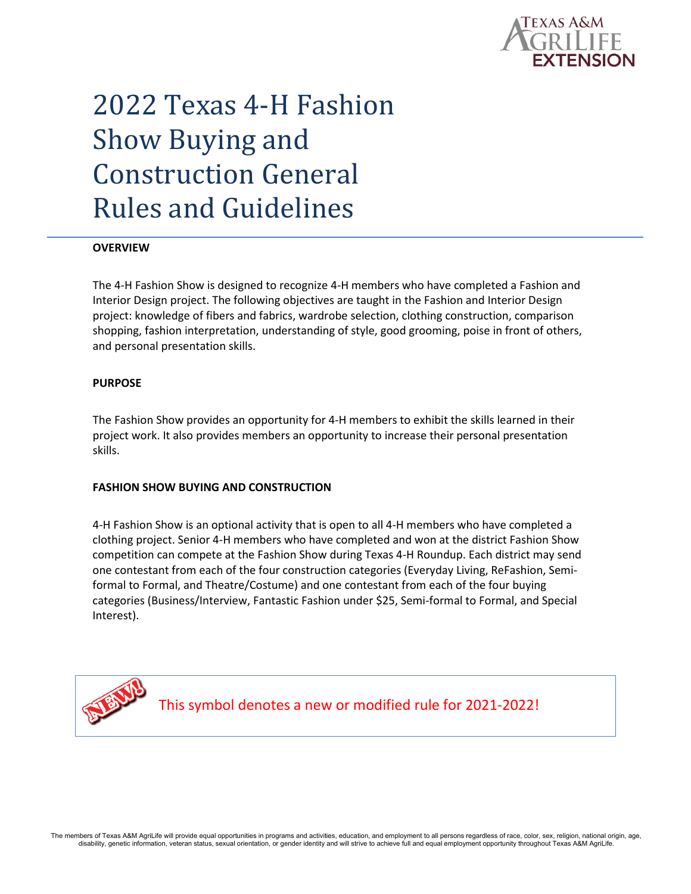

# 2022 Texas 4-H Fashion Show Buying and Construction General Rules and Guidelines

## **OVERVIEW**

The 4-H Fashion Show is designed to recognize 4-H members who have completed a Fashion and Interior Design project. The following objectives are taught in the Fashion and Interior Design project: knowledge of fibers and fabrics, wardrobe selection, clothing construction, comparison shopping, fashion interpretation, understanding of style, good grooming, poise in front of others, and personal presentation skills.

#### **PURPOSE**

The Fashion Show provides an opportunity for 4-H members to exhibit the skills learned in their project work. It also provides members an opportunity to increase their personal presentation skills.

## **FASHION SHOW BUYING AND CONSTRUCTION**

4-H Fashion Show is an optional activity that is open to all 4-H members who have completed a clothing project. Senior 4-H members who have completed and won at the district Fashion Show competition can compete at the Fashion Show during Texas 4-H Roundup. Each district may send one contestant from each of the four construction categories (Everyday Living, ReFashion, Semiformal to Formal, and Theatre/Costume) and one contestant from each of the four buying categories (Business/Interview, Fantastic Fashion under \$25, Semi-formal to Formal, and Special Interest).



This symbol denotes a new or modified rule for 2021-2022!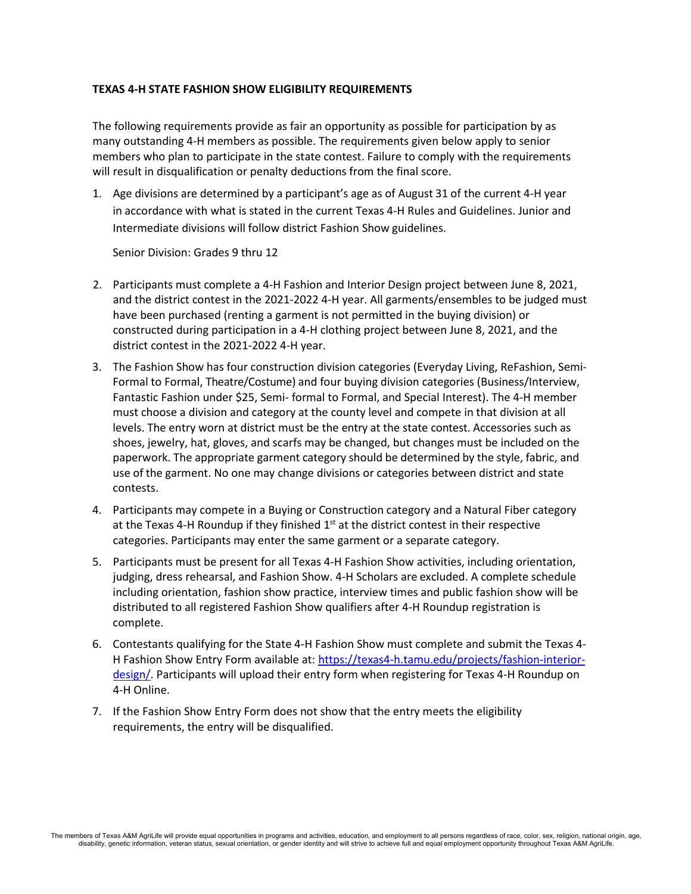# **TEXAS 4-H STATE FASHION SHOW ELIGIBILITY REQUIREMENTS**

The following requirements provide as fair an opportunity as possible for participation by as many outstanding 4-H members as possible. The requirements given below apply to senior members who plan to participate in the state contest. Failure to comply with the requirements will result in disqualification or penalty deductions from the final score.

1. Age divisions are determined by a participant's age as of August 31 of the current 4-H year in accordance with what is stated in the current Texas 4-H Rules and Guidelines. Junior and Intermediate divisions will follow district Fashion Show guidelines.

Senior Division: Grades 9 thru 12

- 2. Participants must complete a 4-H Fashion and Interior Design project between June 8, 2021, and the district contest in the 2021-2022 4-H year. All garments/ensembles to be judged must have been purchased (renting a garment is not permitted in the buying division) or constructed during participation in a 4-H clothing project between June 8, 2021, and the district contest in the 2021-2022 4-H year.
- 3. The Fashion Show has four construction division categories (Everyday Living, ReFashion, Semi-Formal to Formal, Theatre/Costume) and four buying division categories (Business/Interview, Fantastic Fashion under \$25, Semi- formal to Formal, and Special Interest). The 4-H member must choose a division and category at the county level and compete in that division at all levels. The entry worn at district must be the entry at the state contest. Accessories such as shoes, jewelry, hat, gloves, and scarfs may be changed, but changes must be included on the paperwork. The appropriate garment category should be determined by the style, fabric, and use of the garment. No one may change divisions or categories between district and state contests.
- 4. Participants may compete in a Buying or Construction category and a Natural Fiber category at the Texas 4-H Roundup if they finished  $1<sup>st</sup>$  at the district contest in their respective categories. Participants may enter the same garment or a separate category.
- 5. Participants must be present for all Texas 4-H Fashion Show activities, including orientation, judging, dress rehearsal, and Fashion Show. 4-H Scholars are excluded. A complete schedule including orientation, fashion show practice, interview times and public fashion show will be distributed to all registered Fashion Show qualifiers after 4-H Roundup registration is complete.
- 6. Contestants qualifying for the State 4-H Fashion Show must complete and submit the Texas 4- H Fashion Show Entry Form available at: [https://texas4-h.tamu.edu/projects/fashion-interior](https://texas4-h.tamu.edu/projects/fashion-interior-design/)[design/.](https://texas4-h.tamu.edu/projects/fashion-interior-design/) Participants will upload their entry form when registering for Texas 4-H Roundup on 4-H Online.
- 7. If the Fashion Show Entry Form does not show that the entry meets the eligibility requirements, the entry will be disqualified.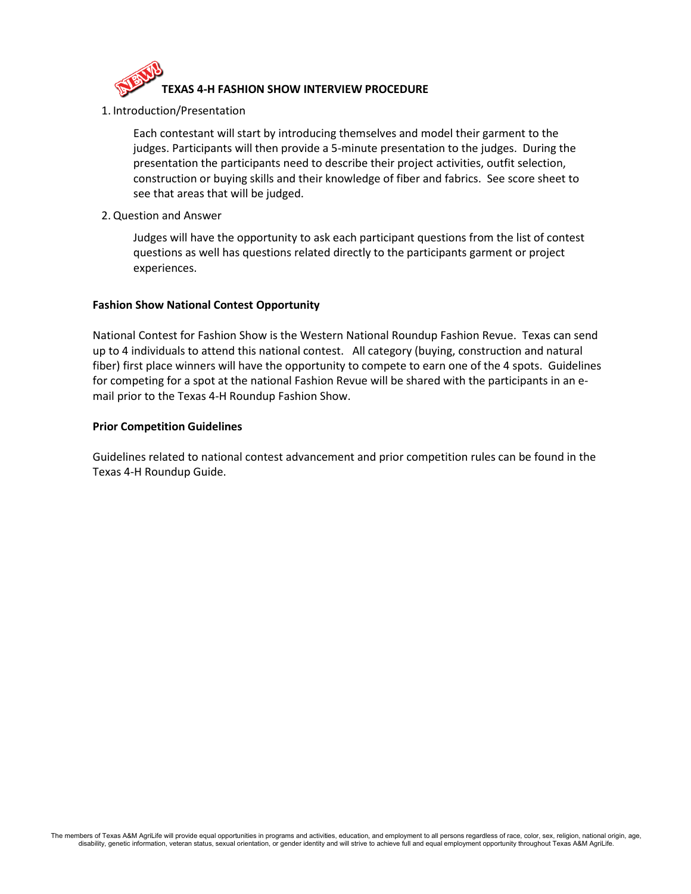

1. Introduction/Presentation

Each contestant will start by introducing themselves and model their garment to the judges. Participants will then provide a 5-minute presentation to the judges. During the presentation the participants need to describe their project activities, outfit selection, construction or buying skills and their knowledge of fiber and fabrics. See score sheet to see that areas that will be judged.

2.Question and Answer

Judges will have the opportunity to ask each participant questions from the list of contest questions as well has questions related directly to the participants garment or project experiences.

# **Fashion Show National Contest Opportunity**

National Contest for Fashion Show is the Western National Roundup Fashion Revue. Texas can send up to 4 individuals to attend this national contest. All category (buying, construction and natural fiber) first place winners will have the opportunity to compete to earn one of the 4 spots. Guidelines for competing for a spot at the national Fashion Revue will be shared with the participants in an email prior to the Texas 4-H Roundup Fashion Show.

# **Prior Competition Guidelines**

Guidelines related to national contest advancement and prior competition rules can be found in the Texas 4-H Roundup Guide.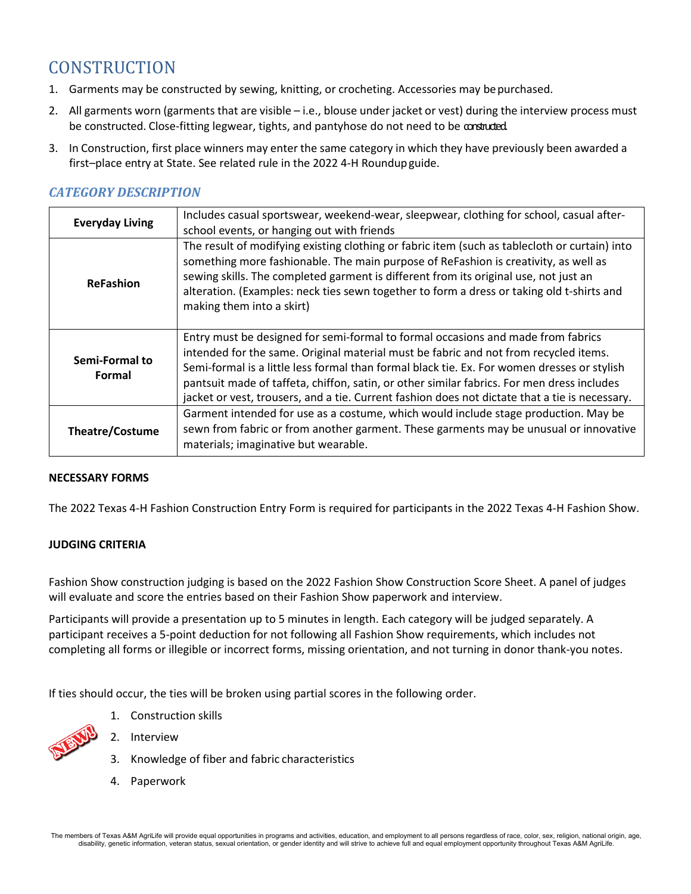# **CONSTRUCTION**

- 1. Garments may be constructed by sewing, knitting, or crocheting. Accessories may be purchased.
- 2. All garments worn (garments that are visible i.e., blouse under jacket or vest) during the interview process must be constructed. Close-fitting legwear, tights, and pantyhose do not need to be constructed.
- 3. In Construction, first place winners may enter the same category in which they have previously been awarded a first–place entry at State. See related rule in the 2022 4-H Roundupguide.

# *CATEGORY DESCRIPTION*

| <b>Everyday Living</b>   | Includes casual sportswear, weekend-wear, sleepwear, clothing for school, casual after-<br>school events, or hanging out with friends                                                                                                                                                                                                                                                                                                                                   |
|--------------------------|-------------------------------------------------------------------------------------------------------------------------------------------------------------------------------------------------------------------------------------------------------------------------------------------------------------------------------------------------------------------------------------------------------------------------------------------------------------------------|
| <b>ReFashion</b>         | The result of modifying existing clothing or fabric item (such as tablecloth or curtain) into<br>something more fashionable. The main purpose of ReFashion is creativity, as well as<br>sewing skills. The completed garment is different from its original use, not just an<br>alteration. (Examples: neck ties sewn together to form a dress or taking old t-shirts and<br>making them into a skirt)                                                                  |
| Semi-Formal to<br>Formal | Entry must be designed for semi-formal to formal occasions and made from fabrics<br>intended for the same. Original material must be fabric and not from recycled items.<br>Semi-formal is a little less formal than formal black tie. Ex. For women dresses or stylish<br>pantsuit made of taffeta, chiffon, satin, or other similar fabrics. For men dress includes<br>jacket or vest, trousers, and a tie. Current fashion does not dictate that a tie is necessary. |
| <b>Theatre/Costume</b>   | Garment intended for use as a costume, which would include stage production. May be<br>sewn from fabric or from another garment. These garments may be unusual or innovative<br>materials; imaginative but wearable.                                                                                                                                                                                                                                                    |

# **NECESSARY FORMS**

The 2022 Texas 4-H Fashion Construction Entry Form is required for participants in the 2022 Texas 4-H Fashion Show.

# **JUDGING CRITERIA**

Fashion Show construction judging is based on the 2022 Fashion Show Construction Score Sheet. A panel of judges will evaluate and score the entries based on their Fashion Show paperwork and interview.

Participants will provide a presentation up to 5 minutes in length. Each category will be judged separately. A participant receives a 5-point deduction for not following all Fashion Show requirements, which includes not completing all forms or illegible or incorrect forms, missing orientation, and not turning in donor thank-you notes.

If ties should occur, the ties will be broken using partial scores in the following order.

1. Construction skills



- 2. Interview
- 3. Knowledge of fiber and fabric characteristics
- 4. Paperwork